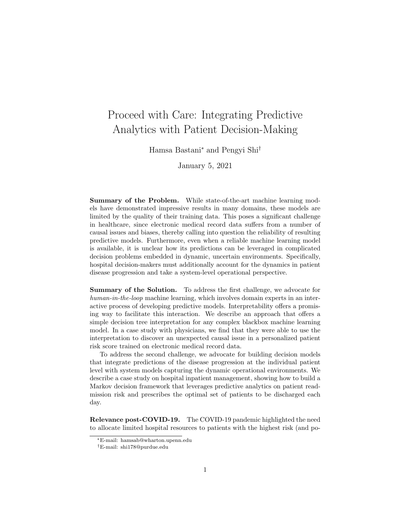# Proceed with Care: Integrating Predictive Analytics with Patient Decision-Making

Hamsa Bastani<sup>∗</sup> and Pengyi Shi†

January 5, 2021

Summary of the Problem. While state-of-the-art machine learning models have demonstrated impressive results in many domains, these models are limited by the quality of their training data. This poses a significant challenge in healthcare, since electronic medical record data suffers from a number of causal issues and biases, thereby calling into question the reliability of resulting predictive models. Furthermore, even when a reliable machine learning model is available, it is unclear how its predictions can be leveraged in complicated decision problems embedded in dynamic, uncertain environments. Specifically, hospital decision-makers must additionally account for the dynamics in patient disease progression and take a system-level operational perspective.

Summary of the Solution. To address the first challenge, we advocate for human-in-the-loop machine learning, which involves domain experts in an interactive process of developing predictive models. Interpretability offers a promising way to facilitate this interaction. We describe an approach that offers a simple decision tree interpretation for any complex blackbox machine learning model. In a case study with physicians, we find that they were able to use the interpretation to discover an unexpected causal issue in a personalized patient risk score trained on electronic medical record data.

To address the second challenge, we advocate for building decision models that integrate predictions of the disease progression at the individual patient level with system models capturing the dynamic operational environments. We describe a case study on hospital inpatient management, showing how to build a Markov decision framework that leverages predictive analytics on patient readmission risk and prescribes the optimal set of patients to be discharged each day.

Relevance post-COVID-19. The COVID-19 pandemic highlighted the need to allocate limited hospital resources to patients with the highest risk (and po-

<sup>∗</sup>E-mail: hamsab@wharton.upenn.edu

<sup>†</sup>E-mail: shi178@purdue.edu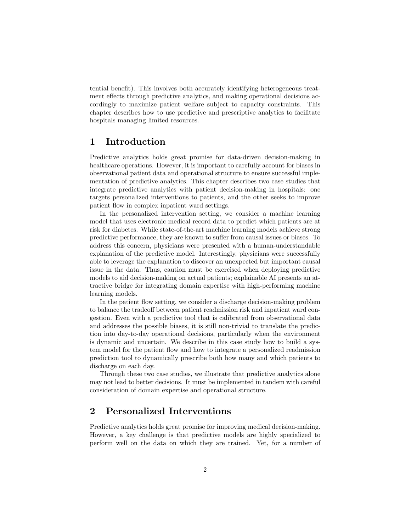tential benefit). This involves both accurately identifying heterogeneous treatment effects through predictive analytics, and making operational decisions accordingly to maximize patient welfare subject to capacity constraints. This chapter describes how to use predictive and prescriptive analytics to facilitate hospitals managing limited resources.

### 1 Introduction

Predictive analytics holds great promise for data-driven decision-making in healthcare operations. However, it is important to carefully account for biases in observational patient data and operational structure to ensure successful implementation of predictive analytics. This chapter describes two case studies that integrate predictive analytics with patient decision-making in hospitals: one targets personalized interventions to patients, and the other seeks to improve patient flow in complex inpatient ward settings.

In the personalized intervention setting, we consider a machine learning model that uses electronic medical record data to predict which patients are at risk for diabetes. While state-of-the-art machine learning models achieve strong predictive performance, they are known to suffer from causal issues or biases. To address this concern, physicians were presented with a human-understandable explanation of the predictive model. Interestingly, physicians were successfully able to leverage the explanation to discover an unexpected but important causal issue in the data. Thus, caution must be exercised when deploying predictive models to aid decision-making on actual patients; explainable AI presents an attractive bridge for integrating domain expertise with high-performing machine learning models.

In the patient flow setting, we consider a discharge decision-making problem to balance the tradeoff between patient readmission risk and inpatient ward congestion. Even with a predictive tool that is calibrated from observational data and addresses the possible biases, it is still non-trivial to translate the prediction into day-to-day operational decisions, particularly when the environment is dynamic and uncertain. We describe in this case study how to build a system model for the patient flow and how to integrate a personalized readmission prediction tool to dynamically prescribe both how many and which patients to discharge on each day.

Through these two case studies, we illustrate that predictive analytics alone may not lead to better decisions. It must be implemented in tandem with careful consideration of domain expertise and operational structure.

## 2 Personalized Interventions

Predictive analytics holds great promise for improving medical decision-making. However, a key challenge is that predictive models are highly specialized to perform well on the data on which they are trained. Yet, for a number of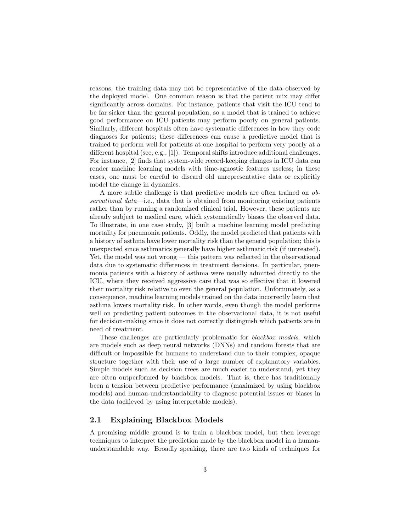reasons, the training data may not be representative of the data observed by the deployed model. One common reason is that the patient mix may differ significantly across domains. For instance, patients that visit the ICU tend to be far sicker than the general population, so a model that is trained to achieve good performance on ICU patients may perform poorly on general patients. Similarly, different hospitals often have systematic differences in how they code diagnoses for patients; these differences can cause a predictive model that is trained to perform well for patients at one hospital to perform very poorly at a different hospital (see, e.g., [1]). Temporal shifts introduce additional challenges. For instance, [2] finds that system-wide record-keeping changes in ICU data can render machine learning models with time-agnostic features useless; in these cases, one must be careful to discard old unrepresentative data or explicitly model the change in dynamics.

A more subtle challenge is that predictive models are often trained on observational data—i.e., data that is obtained from monitoring existing patients rather than by running a randomized clinical trial. However, these patients are already subject to medical care, which systematically biases the observed data. To illustrate, in one case study, [3] built a machine learning model predicting mortality for pneumonia patients. Oddly, the model predicted that patients with a history of asthma have lower mortality risk than the general population; this is unexpected since asthmatics generally have higher asthmatic risk (if untreated). Yet, the model was not wrong — this pattern was reflected in the observational data due to systematic differences in treatment decisions. In particular, pneumonia patients with a history of asthma were usually admitted directly to the ICU, where they received aggressive care that was so effective that it lowered their mortality risk relative to even the general population. Unfortunately, as a consequence, machine learning models trained on the data incorrectly learn that asthma lowers mortality risk. In other words, even though the model performs well on predicting patient outcomes in the observational data, it is not useful for decision-making since it does not correctly distinguish which patients are in need of treatment.

These challenges are particularly problematic for *blackbox models*, which are models such as deep neural networks (DNNs) and random forests that are difficult or impossible for humans to understand due to their complex, opaque structure together with their use of a large number of explanatory variables. Simple models such as decision trees are much easier to understand, yet they are often outperformed by blackbox models. That is, there has traditionally been a tension between predictive performance (maximized by using blackbox models) and human-understandability to diagnose potential issues or biases in the data (achieved by using interpretable models).

#### 2.1 Explaining Blackbox Models

A promising middle ground is to train a blackbox model, but then leverage techniques to interpret the prediction made by the blackbox model in a humanunderstandable way. Broadly speaking, there are two kinds of techniques for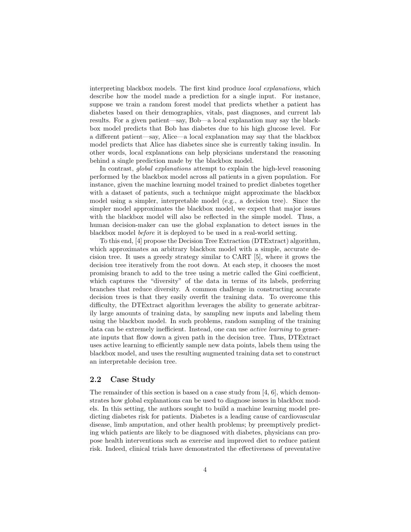interpreting blackbox models. The first kind produce *local explanations*, which describe how the model made a prediction for a single input. For instance, suppose we train a random forest model that predicts whether a patient has diabetes based on their demographics, vitals, past diagnoses, and current lab results. For a given patient—say, Bob—a local explanation may say the blackbox model predicts that Bob has diabetes due to his high glucose level. For a different patient—say, Alice—a local explanation may say that the blackbox model predicts that Alice has diabetes since she is currently taking insulin. In other words, local explanations can help physicians understand the reasoning behind a single prediction made by the blackbox model.

In contrast, global explanations attempt to explain the high-level reasoning performed by the blackbox model across all patients in a given population. For instance, given the machine learning model trained to predict diabetes together with a dataset of patients, such a technique might approximate the blackbox model using a simpler, interpretable model (e.g., a decision tree). Since the simpler model approximates the blackbox model, we expect that major issues with the blackbox model will also be reflected in the simple model. Thus, a human decision-maker can use the global explanation to detect issues in the blackbox model before it is deployed to be used in a real-world setting.

To this end, [4] propose the Decision Tree Extraction (DTExtract) algorithm, which approximates an arbitrary blackbox model with a simple, accurate decision tree. It uses a greedy strategy similar to CART [5], where it grows the decision tree iteratively from the root down. At each step, it chooses the most promising branch to add to the tree using a metric called the Gini coefficient, which captures the "diversity" of the data in terms of its labels, preferring branches that reduce diversity. A common challenge in constructing accurate decision trees is that they easily overfit the training data. To overcome this difficulty, the DTExtract algorithm leverages the ability to generate arbitrarily large amounts of training data, by sampling new inputs and labeling them using the blackbox model. In such problems, random sampling of the training data can be extremely inefficient. Instead, one can use *active learning* to generate inputs that flow down a given path in the decision tree. Thus, DTExtract uses active learning to efficiently sample new data points, labels them using the blackbox model, and uses the resulting augmented training data set to construct an interpretable decision tree.

#### 2.2 Case Study

The remainder of this section is based on a case study from [4, 6], which demonstrates how global explanations can be used to diagnose issues in blackbox models. In this setting, the authors sought to build a machine learning model predicting diabetes risk for patients. Diabetes is a leading cause of cardiovascular disease, limb amputation, and other health problems; by preemptively predicting which patients are likely to be diagnosed with diabetes, physicians can propose health interventions such as exercise and improved diet to reduce patient risk. Indeed, clinical trials have demonstrated the effectiveness of preventative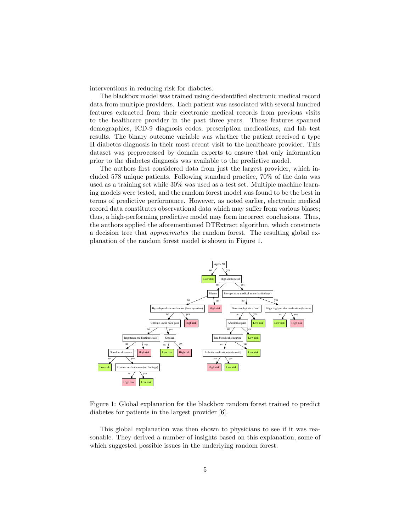interventions in reducing risk for diabetes.

The blackbox model was trained using de-identified electronic medical record data from multiple providers. Each patient was associated with several hundred features extracted from their electronic medical records from previous visits to the healthcare provider in the past three years. These features spanned demographics, ICD-9 diagnosis codes, prescription medications, and lab test results. The binary outcome variable was whether the patient received a type II diabetes diagnosis in their most recent visit to the healthcare provider. This dataset was preprocessed by domain experts to ensure that only information prior to the diabetes diagnosis was available to the predictive model.

The authors first considered data from just the largest provider, which included 578 unique patients. Following standard practice, 70% of the data was used as a training set while 30% was used as a test set. Multiple machine learning models were tested, and the random forest model was found to be the best in terms of predictive performance. However, as noted earlier, electronic medical record data constitutes observational data which may suffer from various biases; thus, a high-performing predictive model may form incorrect conclusions. Thus, the authors applied the aforementioned DTExtract algorithm, which constructs a decision tree that approximates the random forest. The resulting global explanation of the random forest model is shown in Figure 1.



Figure 1: Global explanation for the blackbox random forest trained to predict diabetes for patients in the largest provider [6].

This global explanation was then shown to physicians to see if it was reasonable. They derived a number of insights based on this explanation, some of which suggested possible issues in the underlying random forest.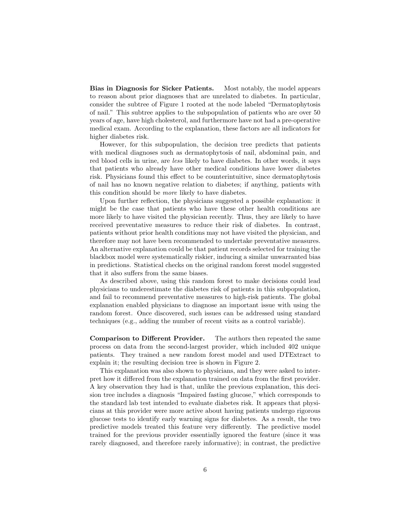Bias in Diagnosis for Sicker Patients. Most notably, the model appears to reason about prior diagnoses that are unrelated to diabetes. In particular, consider the subtree of Figure 1 rooted at the node labeled "Dermatophytosis of nail." This subtree applies to the subpopulation of patients who are over 50 years of age, have high cholesterol, and furthermore have not had a pre-operative medical exam. According to the explanation, these factors are all indicators for higher diabetes risk.

However, for this subpopulation, the decision tree predicts that patients with medical diagnoses such as dermatophytosis of nail, abdominal pain, and red blood cells in urine, are less likely to have diabetes. In other words, it says that patients who already have other medical conditions have lower diabetes risk. Physicians found this effect to be counterintuitive, since dermatophytosis of nail has no known negative relation to diabetes; if anything, patients with this condition should be more likely to have diabetes.

Upon further reflection, the physicians suggested a possible explanation: it might be the case that patients who have these other health conditions are more likely to have visited the physician recently. Thus, they are likely to have received preventative measures to reduce their risk of diabetes. In contrast, patients without prior health conditions may not have visited the physician, and therefore may not have been recommended to undertake preventative measures. An alternative explanation could be that patient records selected for training the blackbox model were systematically riskier, inducing a similar unwarranted bias in predictions. Statistical checks on the original random forest model suggested that it also suffers from the same biases.

As described above, using this random forest to make decisions could lead physicians to underestimate the diabetes risk of patients in this subpopulation, and fail to recommend preventative measures to high-risk patients. The global explanation enabled physicians to diagnose an important issue with using the random forest. Once discovered, such issues can be addressed using standard techniques (e.g., adding the number of recent visits as a control variable).

Comparison to Different Provider. The authors then repeated the same process on data from the second-largest provider, which included 402 unique patients. They trained a new random forest model and used DTExtract to explain it; the resulting decision tree is shown in Figure 2.

This explanation was also shown to physicians, and they were asked to interpret how it differed from the explanation trained on data from the first provider. A key observation they had is that, unlike the previous explanation, this decision tree includes a diagnosis "Impaired fasting glucose," which corresponds to the standard lab test intended to evaluate diabetes risk. It appears that physicians at this provider were more active about having patients undergo rigorous glucose tests to identify early warning signs for diabetes. As a result, the two predictive models treated this feature very differently. The predictive model trained for the previous provider essentially ignored the feature (since it was rarely diagnosed, and therefore rarely informative); in contrast, the predictive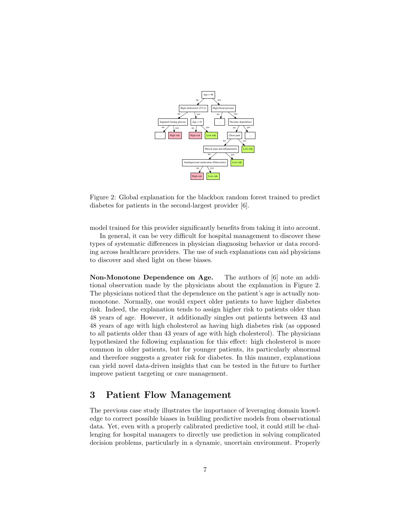

Figure 2: Global explanation for the blackbox random forest trained to predict diabetes for patients in the second-largest provider [6].

model trained for this provider significantly benefits from taking it into account.

In general, it can be very difficult for hospital management to discover these types of systematic differences in physician diagnosing behavior or data recording across healthcare providers. The use of such explanations can aid physicians to discover and shed light on these biases.

Non-Monotone Dependence on Age. The authors of [6] note an additional observation made by the physicians about the explanation in Figure 2. The physicians noticed that the dependence on the patient's age is actually nonmonotone. Normally, one would expect older patients to have higher diabetes risk. Indeed, the explanation tends to assign higher risk to patients older than 48 years of age. However, it additionally singles out patients between 43 and 48 years of age with high cholesterol as having high diabetes risk (as opposed to all patients older than 43 years of age with high cholesterol). The physicians hypothesized the following explanation for this effect: high cholesterol is more common in older patients, but for younger patients, its particularly abnormal and therefore suggests a greater risk for diabetes. In this manner, explanations can yield novel data-driven insights that can be tested in the future to further improve patient targeting or care management.

### 3 Patient Flow Management

The previous case study illustrates the importance of leveraging domain knowledge to correct possible biases in building predictive models from observational data. Yet, even with a properly calibrated predictive tool, it could still be challenging for hospital managers to directly use prediction in solving complicated decision problems, particularly in a dynamic, uncertain environment. Properly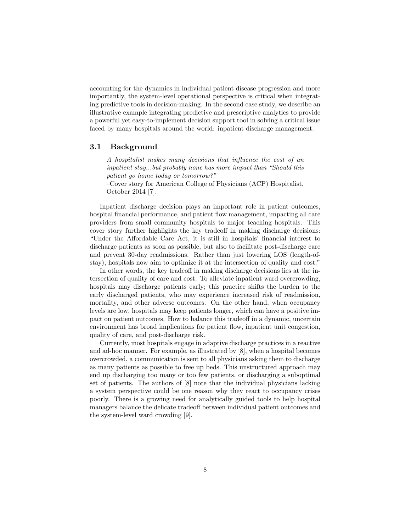accounting for the dynamics in individual patient disease progression and more importantly, the system-level operational perspective is critical when integrating predictive tools in decision-making. In the second case study, we describe an illustrative example integrating predictive and prescriptive analytics to provide a powerful yet easy-to-implement decision support tool in solving a critical issue faced by many hospitals around the world: inpatient discharge management.

#### 3.1 Background

A hospitalist makes many decisions that influence the cost of an inpatient stay...but probably none has more impact than "Should this patient go home today or tomorrow?"

–Cover story for American College of Physicians (ACP) Hospitalist, October 2014 [7].

Inpatient discharge decision plays an important role in patient outcomes, hospital financial performance, and patient flow management, impacting all care providers from small community hospitals to major teaching hospitals. This cover story further highlights the key tradeoff in making discharge decisions: "Under the Affordable Care Act, it is still in hospitals' financial interest to discharge patients as soon as possible, but also to facilitate post-discharge care and prevent 30-day readmissions. Rather than just lowering LOS (length-ofstay), hospitals now aim to optimize it at the intersection of quality and cost."

In other words, the key tradeoff in making discharge decisions lies at the intersection of quality of care and cost. To alleviate inpatient ward overcrowding, hospitals may discharge patients early; this practice shifts the burden to the early discharged patients, who may experience increased risk of readmission, mortality, and other adverse outcomes. On the other hand, when occupancy levels are low, hospitals may keep patients longer, which can have a positive impact on patient outcomes. How to balance this tradeoff in a dynamic, uncertain environment has broad implications for patient flow, inpatient unit congestion, quality of care, and post-discharge risk.

Currently, most hospitals engage in adaptive discharge practices in a reactive and ad-hoc manner. For example, as illustrated by [8], when a hospital becomes overcrowded, a communication is sent to all physicians asking them to discharge as many patients as possible to free up beds. This unstructured approach may end up discharging too many or too few patients, or discharging a suboptimal set of patients. The authors of [8] note that the individual physicians lacking a system perspective could be one reason why they react to occupancy crises poorly. There is a growing need for analytically guided tools to help hospital managers balance the delicate tradeoff between individual patient outcomes and the system-level ward crowding [9].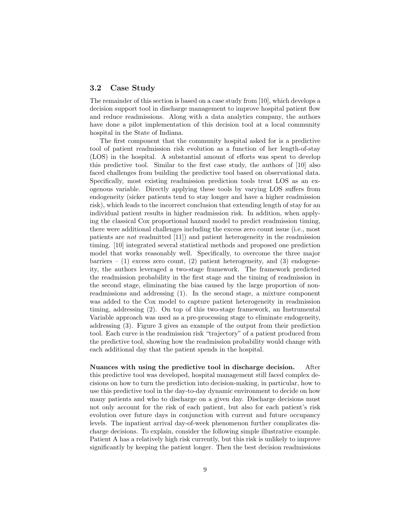#### 3.2 Case Study

The remainder of this section is based on a case study from [10], which develops a decision support tool in discharge management to improve hospital patient flow and reduce readmissions. Along with a data analytics company, the authors have done a pilot implementation of this decision tool at a local community hospital in the State of Indiana.

The first component that the community hospital asked for is a predictive tool of patient readmission risk evolution as a function of her length-of-stay (LOS) in the hospital. A substantial amount of efforts was spent to develop this predictive tool. Similar to the first case study, the authors of [10] also faced challenges from building the predictive tool based on observational data. Specifically, most existing readmission prediction tools treat LOS as an exogenous variable. Directly applying these tools by varying LOS suffers from endogeneity (sicker patients tend to stay longer and have a higher readmission risk), which leads to the incorrect conclusion that extending length of stay for an individual patient results in higher readmission risk. In addition, when applying the classical Cox proportional hazard model to predict readmission timing, there were additional challenges including the excess zero count issue (i.e., most patients are not readmitted [11]) and patient heterogeneity in the readmission timing. [10] integrated several statistical methods and proposed one prediction model that works reasonably well. Specifically, to overcome the three major barriers –  $(1)$  excess zero count,  $(2)$  patient heterogeneity, and  $(3)$  endogeneity, the authors leveraged a two-stage framework. The framework predicted the readmission probability in the first stage and the timing of readmission in the second stage, eliminating the bias caused by the large proportion of nonreadmissions and addressing (1). In the second stage, a mixture component was added to the Cox model to capture patient heterogeneity in readmission timing, addressing (2). On top of this two-stage framework, an Instrumental Variable approach was used as a pre-processing stage to eliminate endogeneity, addressing (3). Figure 3 gives an example of the output from their prediction tool. Each curve is the readmission risk "trajectory" of a patient produced from the predictive tool, showing how the readmission probability would change with each additional day that the patient spends in the hospital.

Nuances with using the predictive tool in discharge decision. After this predictive tool was developed, hospital management still faced complex decisions on how to turn the prediction into decision-making, in particular, how to use this predictive tool in the day-to-day dynamic environment to decide on how many patients and who to discharge on a given day. Discharge decisions must not only account for the risk of each patient, but also for each patient's risk evolution over future days in conjunction with current and future occupancy levels. The inpatient arrival day-of-week phenomenon further complicates discharge decisions. To explain, consider the following simple illustrative example. Patient A has a relatively high risk currently, but this risk is unlikely to improve significantly by keeping the patient longer. Then the best decision readmissions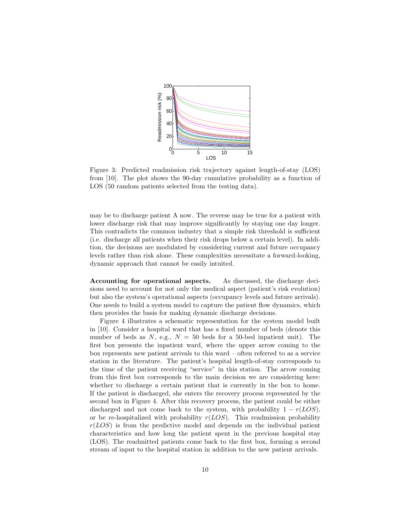

Figure 3: Predicted readmission risk trajectory against length-of-stay (LOS) from [10]. The plot shows the 90-day cumulative probability as a function of LOS (50 random patients selected from the testing data).

may be to discharge patient A now. The reverse may be true for a patient with lower discharge risk that may improve significantly by staying one day longer. This contradicts the common industry that a simple risk threshold is sufficient (i.e. discharge all patients when their risk drops below a certain level). In addition, the decisions are modulated by considering current and future occupancy levels rather than risk alone. These complexities necessitate a forward-looking, dynamic approach that cannot be easily intuited.

Accounting for operational aspects. As discussed, the discharge decisions need to account for not only the medical aspect (patient's risk evolution) but also the system's operational aspects (occupancy levels and future arrivals). One needs to build a system model to capture the patient flow dynamics, which then provides the basis for making dynamic discharge decisions.

Figure 4 illustrates a schematic representation for the system model built in [10]. Consider a hospital ward that has a fixed number of beds (denote this number of beds as N, e.g.,  $N = 50$  beds for a 50-bed inpatient unit). The first box presents the inpatient ward, where the upper arrow coming to the box represents new patient arrivals to this ward – often referred to as a service station in the literature. The patient's hospital length-of-stay corresponds to the time of the patient receiving "service" in this station. The arrow coming from this first box corresponds to the main decision we are considering here: whether to discharge a certain patient that is currently in the box to home. If the patient is discharged, she enters the recovery process represented by the second box in Figure 4. After this recovery process, the patient could be either discharged and not come back to the system, with probability  $1 - r(LOS)$ , or be re-hospitalized with probability  $r(LOS)$ . This readmission probability  $r(LOS)$  is from the predictive model and depends on the individual patient characteristics and how long the patient spent in the previous hospital stay (LOS). The readmitted patients come back to the first box, forming a second stream of input to the hospital station in addition to the new patient arrivals.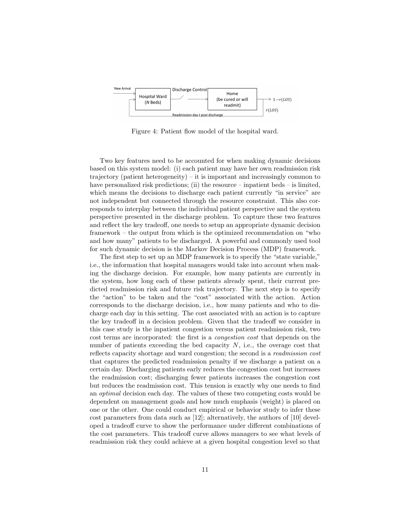

Figure 4: Patient flow model of the hospital ward.

Two key features need to be accounted for when making dynamic decisions based on this system model: (i) each patient may have her own readmission risk trajectory (patient heterogeneity) – it is important and increasingly common to have personalized risk predictions; (ii) the resource – inpatient beds – is limited, which means the decisions to discharge each patient currently "in service" are not independent but connected through the resource constraint. This also corresponds to interplay between the individual patient perspective and the system perspective presented in the discharge problem. To capture these two features and reflect the key tradeoff, one needs to setup an appropriate dynamic decision framework – the output from which is the optimized recommendation on "who and how many" patients to be discharged. A powerful and commonly used tool for such dynamic decision is the Markov Decision Process (MDP) framework.

The first step to set up an MDP framework is to specify the "state variable," i.e., the information that hospital managers would take into account when making the discharge decision. For example, how many patients are currently in the system, how long each of these patients already spent, their current predicted readmission risk and future risk trajectory. The next step is to specify the "action" to be taken and the "cost" associated with the action. Action corresponds to the discharge decision, i.e., how many patients and who to discharge each day in this setting. The cost associated with an action is to capture the key tradeoff in a decision problem. Given that the tradeoff we consider in this case study is the inpatient congestion versus patient readmission risk, two cost terms are incorporated: the first is a congestion cost that depends on the number of patients exceeding the bed capacity  $N$ , i.e., the overage cost that reflects capacity shortage and ward congestion; the second is a readmission cost that captures the predicted readmission penalty if we discharge a patient on a certain day. Discharging patients early reduces the congestion cost but increases the readmission cost; discharging fewer patients increases the congestion cost but reduces the readmission cost. This tension is exactly why one needs to find an optimal decision each day. The values of these two competing costs would be dependent on management goals and how much emphasis (weight) is placed on one or the other. One could conduct empirical or behavior study to infer these cost parameters from data such as [12]; alternatively, the authors of [10] developed a tradeoff curve to show the performance under different combinations of the cost parameters. This tradeoff curve allows managers to see what levels of readmission risk they could achieve at a given hospital congestion level so that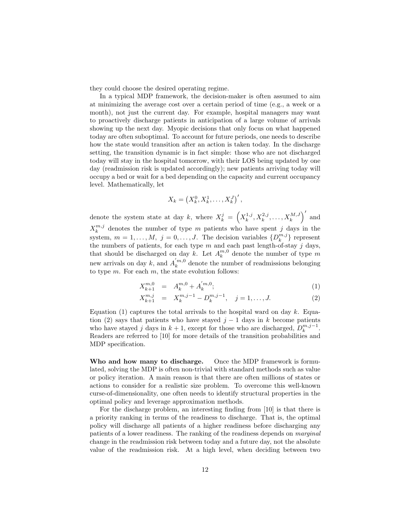they could choose the desired operating regime.

In a typical MDP framework, the decision-maker is often assumed to aim at minimizing the average cost over a certain period of time (e.g., a week or a month), not just the current day. For example, hospital managers may want to proactively discharge patients in anticipation of a large volume of arrivals showing up the next day. Myopic decisions that only focus on what happened today are often suboptimal. To account for future periods, one needs to describe how the state would transition after an action is taken today. In the discharge setting, the transition dynamic is in fact simple: those who are not discharged today will stay in the hospital tomorrow, with their LOS being updated by one day (readmission risk is updated accordingly); new patients arriving today will occupy a bed or wait for a bed depending on the capacity and current occupancy level. Mathematically, let

$$
X_k = \left(X_k^0, X_k^1, \ldots, X_k^J\right)',
$$

denote the system state at day k, where  $X_k^j = \left(X_k^{1,j}, X_k^{2,j}, \ldots, X_k^{M,J}\right)'$  and  $X_k^{m,j}$  denotes the number of type m patients who have spent j days in the system,  $m = 1, ..., M$ ,  $j = 0, ..., J$ . The decision variables  $\{D_k^{m,j}\}\)$  represent the numbers of patients, for each type  $m$  and each past length-of-stay  $j$  days, that should be discharged on day k. Let  $A_k^{m,0}$  denote the number of type m new arrivals on day k, and  $A_k^{'m,0}$  denote the number of readmissions belonging to type  $m$ . For each  $m$ , the state evolution follows:

$$
X_{k+1}^{m,0} = A_k^{m,0} + A_k^{'m,0};
$$
\n(1)

$$
X_{k+1}^{m,j} = X_k^{m,j-1} - D_k^{m,j-1}, \quad j = 1, \dots, J. \tag{2}
$$

Equation (1) captures the total arrivals to the hospital ward on day k. Equation (2) says that patients who have stayed  $j-1$  days in k become patients who have stayed j days in  $k + 1$ , except for those who are discharged,  $D_k^{m,j-1}$ . Readers are referred to [10] for more details of the transition probabilities and MDP specification.

Who and how many to discharge. Once the MDP framework is formulated, solving the MDP is often non-trivial with standard methods such as value or policy iteration. A main reason is that there are often millions of states or actions to consider for a realistic size problem. To overcome this well-known curse-of-dimensionality, one often needs to identify structural properties in the optimal policy and leverage approximation methods.

For the discharge problem, an interesting finding from [10] is that there is a priority ranking in terms of the readiness to discharge. That is, the optimal policy will discharge all patients of a higher readiness before discharging any patients of a lower readiness. The ranking of the readiness depends on marginal change in the readmission risk between today and a future day, not the absolute value of the readmission risk. At a high level, when deciding between two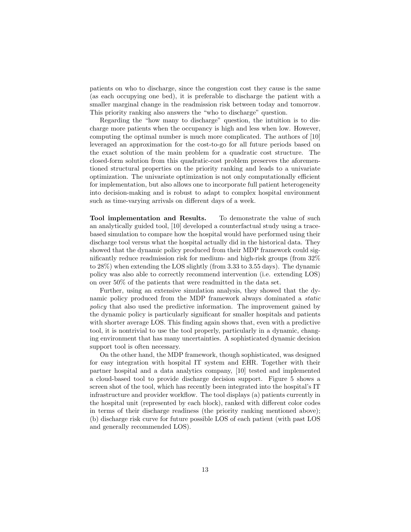patients on who to discharge, since the congestion cost they cause is the same (as each occupying one bed), it is preferable to discharge the patient with a smaller marginal change in the readmission risk between today and tomorrow. This priority ranking also answers the "who to discharge" question.

Regarding the "how many to discharge" question, the intuition is to discharge more patients when the occupancy is high and less when low. However, computing the optimal number is much more complicated. The authors of [10] leveraged an approximation for the cost-to-go for all future periods based on the exact solution of the main problem for a quadratic cost structure. The closed-form solution from this quadratic-cost problem preserves the aforementioned structural properties on the priority ranking and leads to a univariate optimization. The univariate optimization is not only computationally efficient for implementation, but also allows one to incorporate full patient heterogeneity into decision-making and is robust to adapt to complex hospital environment such as time-varying arrivals on different days of a week.

Tool implementation and Results. To demonstrate the value of such an analytically guided tool, [10] developed a counterfactual study using a tracebased simulation to compare how the hospital would have performed using their discharge tool versus what the hospital actually did in the historical data. They showed that the dynamic policy produced from their MDP framework could significantly reduce readmission risk for medium- and high-risk groups (from 32% to 28%) when extending the LOS slightly (from 3.33 to 3.55 days). The dynamic policy was also able to correctly recommend intervention (i.e. extending LOS) on over 50% of the patients that were readmitted in the data set.

Further, using an extensive simulation analysis, they showed that the dynamic policy produced from the MDP framework always dominated a static policy that also used the predictive information. The improvement gained by the dynamic policy is particularly significant for smaller hospitals and patients with shorter average LOS. This finding again shows that, even with a predictive tool, it is nontrivial to use the tool properly, particularly in a dynamic, changing environment that has many uncertainties. A sophisticated dynamic decision support tool is often necessary.

On the other hand, the MDP framework, though sophisticated, was designed for easy integration with hospital IT system and EHR. Together with their partner hospital and a data analytics company, [10] tested and implemented a cloud-based tool to provide discharge decision support. Figure 5 shows a screen shot of the tool, which has recently been integrated into the hospital's IT infrastructure and provider workflow. The tool displays (a) patients currently in the hospital unit (represented by each block), ranked with different color codes in terms of their discharge readiness (the priority ranking mentioned above); (b) discharge risk curve for future possible LOS of each patient (with past LOS and generally recommended LOS).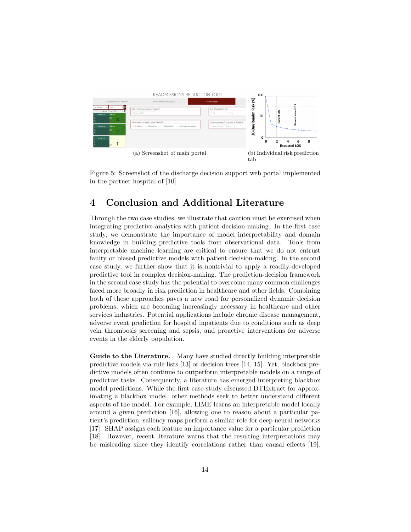

Figure 5: Screenshot of the discharge decision support web portal implemented in the partner hospital of [10].

# 4 Conclusion and Additional Literature

Through the two case studies, we illustrate that caution must be exercised when integrating predictive analytics with patient decision-making. In the first case study, we demonstrate the importance of model interpretability and domain knowledge in building predictive tools from observational data. Tools from interpretable machine learning are critical to ensure that we do not entrust faulty or biased predictive models with patient decision-making. In the second case study, we further show that it is nontrivial to apply a readily-developed predictive tool in complex decision-making. The prediction-decision framework in the second case study has the potential to overcome many common challenges faced more broadly in risk prediction in healthcare and other fields. Combining both of these approaches paves a new road for personalized dynamic decision problems, which are becoming increasingly necessary in healthcare and other services industries. Potential applications include chronic disease management, adverse event prediction for hospital inpatients due to conditions such as deep vein thrombosis screening and sepsis, and proactive interventions for adverse events in the elderly population.

Guide to the Literature. Many have studied directly building interpretable predictive models via rule lists [13] or decision trees [14, 15]. Yet, blackbox predictive models often continue to outperform interpretable models on a range of predictive tasks. Consequently, a literature has emerged interpreting blackbox model predictions. While the first case study discussed DTExtract for approximating a blackbox model, other methods seek to better understand different aspects of the model. For example, LIME learns an interpretable model locally around a given prediction [16], allowing one to reason about a particular patient's prediction; saliency maps perform a similar role for deep neural networks [17]. SHAP assigns each feature an importance value for a particular prediction [18]. However, recent literature warns that the resulting interpretations may be misleading since they identify correlations rather than causal effects [19].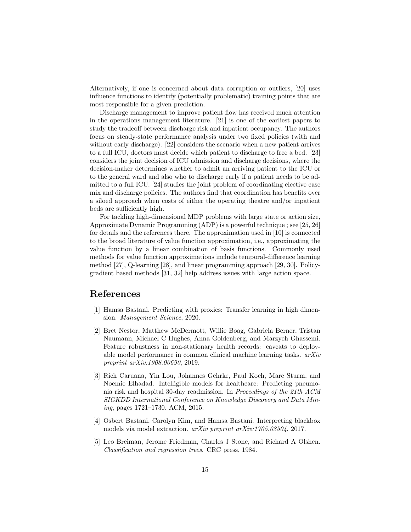Alternatively, if one is concerned about data corruption or outliers, [20] uses influence functions to identify (potentially problematic) training points that are most responsible for a given prediction.

Discharge management to improve patient flow has received much attention in the operations management literature. [21] is one of the earliest papers to study the tradeoff between discharge risk and inpatient occupancy. The authors focus on steady-state performance analysis under two fixed policies (with and without early discharge). [22] considers the scenario when a new patient arrives to a full ICU, doctors must decide which patient to discharge to free a bed. [23] considers the joint decision of ICU admission and discharge decisions, where the decision-maker determines whether to admit an arriving patient to the ICU or to the general ward and also who to discharge early if a patient needs to be admitted to a full ICU. [24] studies the joint problem of coordinating elective case mix and discharge policies. The authors find that coordination has benefits over a siloed approach when costs of either the operating theatre and/or inpatient beds are sufficiently high.

For tackling high-dimensional MDP problems with large state or action size, Approximate Dynamic Programming (ADP) is a powerful technique ; see [25, 26] for details and the references there. The approximation used in [10] is connected to the broad literature of value function approximation, i.e., approximating the value function by a linear combination of basis functions. Commonly used methods for value function approximations include temporal-difference learning method [27], Q-learning [28], and linear programming approach [29, 30]. Policygradient based methods [31, 32] help address issues with large action space.

### References

- [1] Hamsa Bastani. Predicting with proxies: Transfer learning in high dimension. Management Science, 2020.
- [2] Bret Nestor, Matthew McDermott, Willie Boag, Gabriela Berner, Tristan Naumann, Michael C Hughes, Anna Goldenberg, and Marzyeh Ghassemi. Feature robustness in non-stationary health records: caveats to deployable model performance in common clinical machine learning tasks. arXiv preprint arXiv:1908.00690, 2019.
- [3] Rich Caruana, Yin Lou, Johannes Gehrke, Paul Koch, Marc Sturm, and Noemie Elhadad. Intelligible models for healthcare: Predicting pneumonia risk and hospital 30-day readmission. In Proceedings of the 21th ACM SIGKDD International Conference on Knowledge Discovery and Data Mining, pages 1721–1730. ACM, 2015.
- [4] Osbert Bastani, Carolyn Kim, and Hamsa Bastani. Interpreting blackbox models via model extraction. arXiv preprint arXiv:1705.08504, 2017.
- [5] Leo Breiman, Jerome Friedman, Charles J Stone, and Richard A Olshen. Classification and regression trees. CRC press, 1984.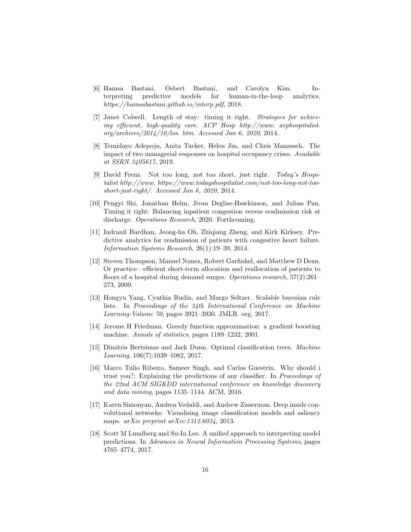- [6] Hamsa Bastani, Osbert Bastani, and Carolyn Kim. Interpreting predictive models for human-in-the-loop analytics. https://hamsabastani.github.io/interp.pdf, 2018.
- [7] Janet Colwell. Length of stay: timing it right. Strategies for achieving efficient, high-quality care. ACP Hosp http://www. acphospitalist. org/archives/2014/10/los. htm. Accessed Jan 6, 2020, 2014.
- [8] Temidayo Adepoju, Anita Tucker, Helen Jin, and Chris Manasseh. The impact of two managerial responses on hospital occupancy crises. Available at SSRN 3405617, 2019.
- [9] David Frenz. Not too long, not too short, just right. Today's Hospitalist http://www. https://www.todayshospitalist.com/not-too-long-not-tooshort-just-right/. Accessed Jan 6, 2020, 2014.
- [10] Pengyi Shi, Jonathan Helm, Jivan Deglise-Hawkinson, and Julian Pan. Timing it right: Balancing inpatient congestion versus readmission risk at discharge. Operations Research, 2020. Forthcoming.
- [11] Indranil Bardhan, Jeong-ha Oh, Zhiqiang Zheng, and Kirk Kirksey. Predictive analytics for readmission of patients with congestive heart failure. Information Systems Research, 26(1):19–39, 2014.
- [12] Steven Thompson, Manuel Nunez, Robert Garfinkel, and Matthew D Dean. Or practice—efficient short-term allocation and reallocation of patients to floors of a hospital during demand surges. Operations research, 57(2):261– 273, 2009.
- [13] Hongyu Yang, Cynthia Rudin, and Margo Seltzer. Scalable bayesian rule lists. In Proceedings of the 34th International Conference on Machine Learning-Volume 70, pages 3921–3930. JMLR. org, 2017.
- [14] Jerome H Friedman. Greedy function approximation: a gradient boosting machine. *Annals of statistics*, pages 1189–1232, 2001.
- [15] Dimitris Bertsimas and Jack Dunn. Optimal classification trees. Machine Learning, 106(7):1039–1082, 2017.
- [16] Marco Tulio Ribeiro, Sameer Singh, and Carlos Guestrin. Why should i trust you?: Explaining the predictions of any classifier. In Proceedings of the 22nd ACM SIGKDD international conference on knowledge discovery and data mining, pages 1135–1144. ACM, 2016.
- [17] Karen Simonyan, Andrea Vedaldi, and Andrew Zisserman. Deep inside convolutional networks: Visualising image classification models and saliency maps. arXiv preprint arXiv:1312.6034, 2013.
- [18] Scott M Lundberg and Su-In Lee. A unified approach to interpreting model predictions. In Advances in Neural Information Processing Systems, pages 4765–4774, 2017.